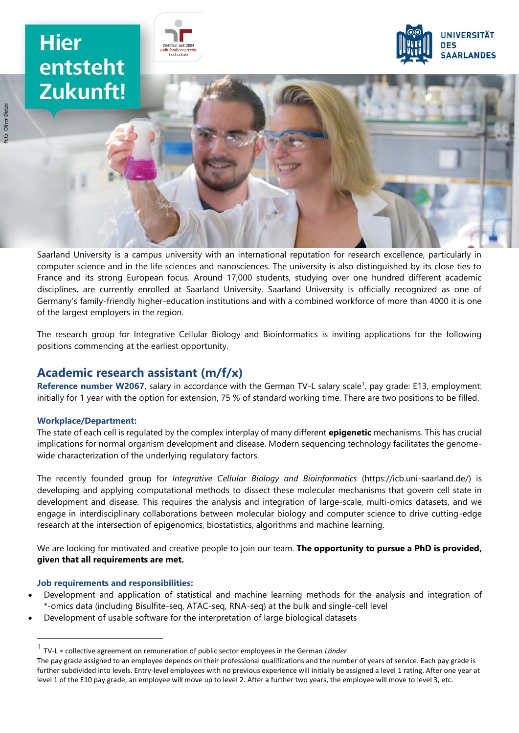# **Hier** entsteht Zukunft!





Saarland University is a campus university with an international reputation for research excellence, particularly in computer science and in the life sciences and nanosciences. The university is also distinguished by its close ties to France and its strong European focus. Around 17,000 students, studying over one hundred different academic disciplines, are currently enrolled at Saarland University. Saarland University is officially recognized as one of Germany's family-friendly higher-education institutions and with a combined workforce of more than 4000 it is one of the largest employers in the region.

The research group for Integrative Cellular Biology and Bioinformatics is inviting applications for the following positions commencing at the earliest opportunity.

# **Academic research assistant (m/f/x)**

Reference number W2067, salary in accordance with the German TV-L salary scale<sup>1</sup>, pay grade: E13, employment: initially for 1 year with the option for extension, 75 % of standard working time. There are two positions to be filled.

# **Workplace/Department:**

The state of each cell is regulated by the complex interplay of many different **epigenetic** mechanisms. This has crucial implications for normal organism development and disease. Modern sequencing technology facilitates the genomewide characterization of the underlying regulatory factors.

The recently founded group for *Integrative Cellular Biology and Bioinformatics* (https://icb.uni-saarland.de/) is developing and applying computational methods to dissect these molecular mechanisms that govern cell state in development and disease. This requires the analysis and integration of large-scale, multi-omics datasets, and we engage in interdisciplinary collaborations between molecular biology and computer science to drive cutting-edge research at the intersection of epigenomics, biostatistics, algorithms and machine learning.

We are looking for motivated and creative people to join our team. **The opportunity to pursue a PhD is provided, given that all requirements are met.**

# **Job requirements and responsibilities:**

- Development and application of statistical and machine learning methods for the analysis and integration of \*-omics data (including Bisulfite-seq, ATAC-seq, RNA-seq) at the bulk and single-cell level
- Development of usable software for the interpretation of large biological datasets

<sup>1</sup> TV-L = collective agreement on remuneration of public sector employees in the German *Länder*

The pay grade assigned to an employee depends on their professional qualifications and the number of years of service. Each pay grade is further subdivided into levels. Entry-level employees with no previous experience will initially be assigned a level 1 rating. After one year at level 1 of the E10 pay grade, an employee will move up to level 2. After a further two years, the employee will move to level 3, etc.